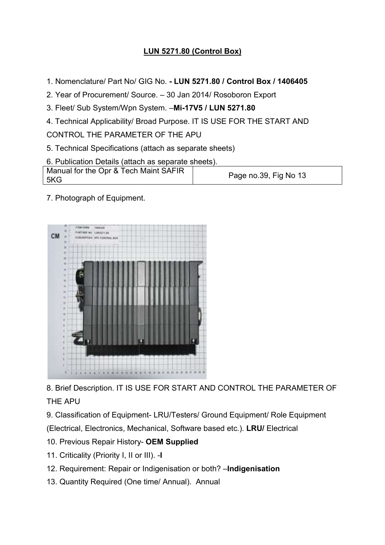## LUN 5271.80 (Control Box)

- 1. Nomenclature/ Part No/ GIG No. LUN 5271.80 / Control Box / 1406405
- 2. Year of Procurement/ Source. 30 Jan 2014/ Rosoboron Export
- 3. Fleet/ Sub System/Wpn System. . Fleet/ Sub System. –Mi-17V5 / LUN 5271.80
- 

- 5. Technical Specifications (attach as separate sheets)
- 6. Publication Details (attach as separate sheets).

| 4. Technical Applicability/ Broad Purpose. IT IS USE FOR THE START AND |
|------------------------------------------------------------------------|
|                                                                        |
| 5. Technical Specifications (attach as separate sheets)                |
| 6. Publication Details (attach as separate sheets).                    |
| Page no.39, Fig No 13                                                  |
|                                                                        |

7. Photograph of Equipment.



8. Brief Description. IT IS USE FOR START AND CONTROL THE PARAMETER OF THE APU

9. Classification of Equipment- LRU/Testers/ Ground Equipment/ Role Equipment

(Electrical, Electronics, Mechanical, Software based etc.). LRU/ Electrical

- 10. Previous Repair History- OEM Supplied
- 11. Criticality (Priority I, II or III). -I
- 12. Requirement: Repair or Indigenisation or both? Indigenisation
- 13. Quantity Required (One time/ Annual). Annual .